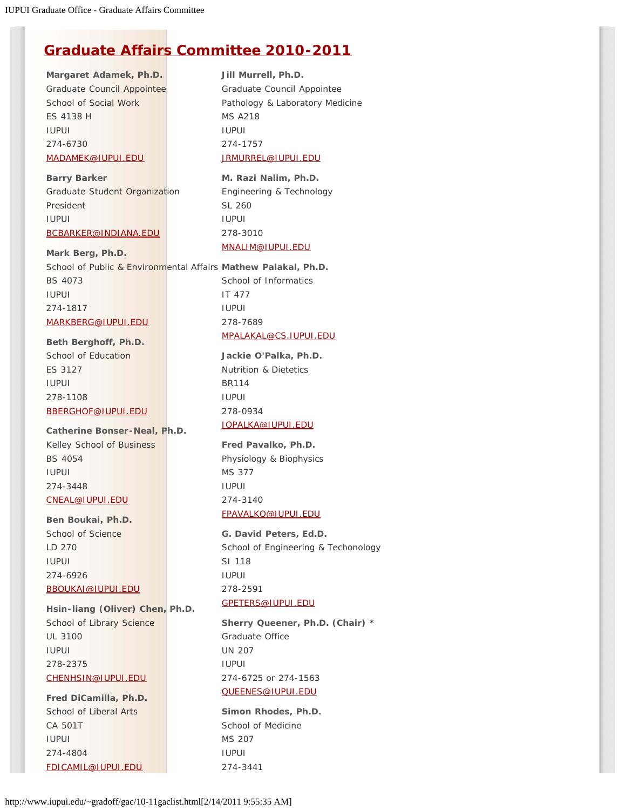# **[Graduate Affairs Committee 2010-2011](http://www.iupui.edu/~gradoff/gac/gradaffcom11.html)**

**Margaret Adamek, Ph.D.** Graduate Council Appointee School of Social Work ES 4138 H IUPUI 274-6730 [MADAMEK@IUPUI.EDU](mailto:MADAMEK@IUPUI.EDU)

**Barry Barker** Graduate Student Organization President IUPUI [BCBARKER@INDIANA.EDU](mailto:bcbarker@indiana.edu)

**Mark Berg, Ph.D.** School of Public & Environmental Affairs **Mathew Palakal, Ph.D.** BS 4073 IUPUI 274-1817 [MARKBERG@IUPUI.EDU](mailto:MARKBERG@IUPUI.EDU) IT 477 IUPUI 278-7689

**Beth Berghoff, Ph.D.** School of Education ES 3127 IUPUI 278-1108 [BBERGHOF@IUPUI.EDU](mailto:bberghof@iupui.edu)

**Catherine Bonser-Neal, Ph.D.** Kelley School of Business BS 4054 IUPUI 274-3448 [CNEAL@IUPUI.EDU](mailto:cneal@iupui.edu)

**Ben Boukai, Ph.D.**

School of Science LD 270 IUPUI 274-6926 [BBOUKAI@IUPUI.EDU](mailto:BBOUKAI@iupui.edu)

**Hsin-liang (Oliver) Chen, Ph.D.** School of Library Science UL 3100 IUPUI 278-2375 [CHENHSIN@IUPUI.EDU](mailto:CHENHSIN@iupui.edu)

**Fred DiCamilla, Ph.D.** School of Liberal Arts CA 501T IUPUI 274-4804 [FDICAMIL@IUPUI.EDU](mailto:FDICAMIL@IUPUI.EDU)

**Jill Murrell, Ph.D.** Graduate Council Appointee Pathology & Laboratory Medicine MS A218 IUPUI 274-1757 [JRMURREL@IUPUI.EDU](mailto:JRMURREL@iupui.edu)

**M. Razi Nalim, Ph.D.**  Engineering & Technology SL 260 IUPUI 278-3010 [MNALIM@IUPUI.EDU](mailto:mnalim@iupui.edu)

School of Informatics [MPALAKAL@CS.IUPUI.EDU](mailto:Mpalakal@cs.iupui.edu)

> **Jackie O'Palka, Ph.D.** Nutrition & Dietetics BR114 IUPUI 278-0934 [JOPALKA@IUPUI.EDU](mailto:Jopalka@iupui.edu)

**Fred Pavalko, Ph.D.**

Physiology & Biophysics MS 377 IUPUI 274-3140 [FPAVALKO@IUPUI.EDU](mailto:FPAVALKO@IUPUI.EDU)

**G. David Peters, Ed.D.** School of Engineering & Techonology SI 118 IUPUI 278-2591 [GPETERS@IUPUI.EDU](mailto:GPETERS@IUPUI.EDU)

**Sherry Queener, Ph.D. (Chair)** \* Graduate Office UN 207 IUPUI 274-6725 or 274-1563 [QUEENES@IUPUI.EDU](mailto:QUEENES@IUPUI.EDU)

**Simon Rhodes, Ph.D.** School of Medicine MS 207 IUPUI 274-3441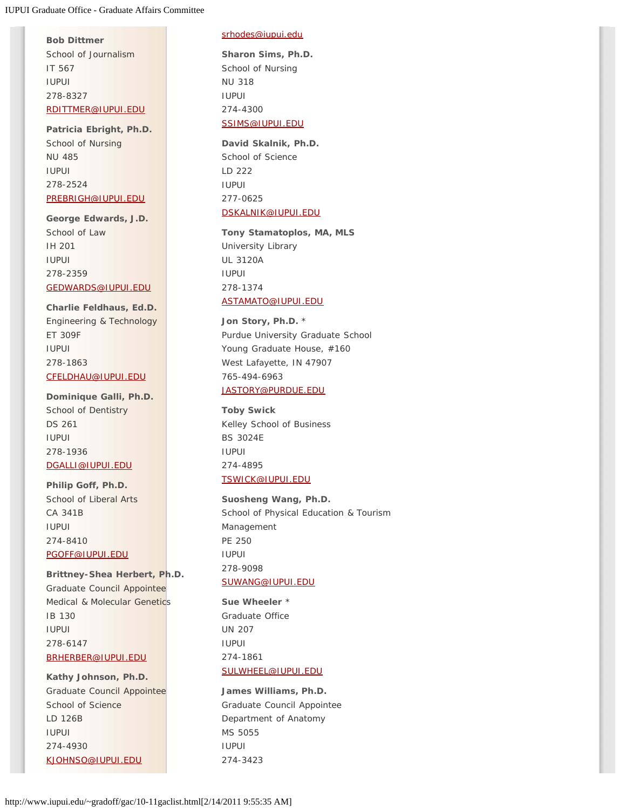**Bob Dittmer** School of Journalism IT 567 IUPUI 278-8327 [RDITTMER@IUPUI.EDU](mailto:rdittmer@IUPUI.EDU)

**Patricia Ebright, Ph.D.** School of Nursing NU 485 IUPUI 278-2524 [PREBRIGH@IUPUI.EDU](mailto:prebrigh@iupui.edu)

**George Edwards, J.D.** School of Law IH 201 IUPUI 278-2359 [GEDWARDS@IUPUI.EDU](mailto:GEDWARDS@IUPUI.EDU)

**Charlie Feldhaus, Ed.D.** Engineering & Technology ET 309F IUPUI 278-1863 [CFELDHAU@IUPUI.EDU](mailto:cfeldhau@IUPUI.EDU)

## **Dominique Galli, Ph.D.**

School of Dentistry DS 261 IUPUI 278-1936 [DGALLI@IUPUI.EDU](mailto:DGALLI@IUPUI.EDU)

#### **Philip Goff, Ph.D.**

School of Liberal Arts CA 341B IUPUI 274-8410 [PGOFF@IUPUI.EDU](mailto:PGOFF@IUPUI.EDU)

**Brittney-Shea Herbert, Ph.D.** Graduate Council Appointee Medical & Molecular Genetics IB 130 IUPUI 278-6147 [BRHERBER@IUPUI.EDU](mailto:BRHERBER@IUPUI.EDU)

**Kathy Johnson, Ph.D.** Graduate Council Appointee School of Science LD 126B IUPUI 274-4930 [KJOHNSO@IUPUI.EDU](mailto:KJOHNSO@IUPUI.EDU)

#### [srhodes@iupui.edu](mailto:srhodes@iupui.edu)

**Sharon Sims, Ph.D.** School of Nursing NU 318 IUPUI 274-4300 [SSIMS@IUPUI.EDU](mailto:SSIMS@IUPUI.EDU)

**David Skalnik, Ph.D.** School of Science

LD 222 IUPUI 277-0625 [DSKALNIK@IUPUI.EDU](mailto:dskalnik@iupui.edu)

**Tony Stamatoplos, MA, MLS** University Library UL 3120A IUPUI 278-1374 [ASTAMATO@IUPUI.EDU](mailto:ASTAMATO@IUPUI.EDU)

**Jon Story, Ph.D.** \* Purdue University Graduate School Young Graduate House, #160 West Lafayette, IN 47907 765-494-6963 [JASTORY@PURDUE.EDU](mailto:JASTORY@PURDUE.EDU)

**Toby Swick** Kelley School of Business BS 3024E IUPUI 274-4895 [TSWICK@IUPUI.EDU](mailto:tswick@iupui.edu)

**Suosheng Wang, Ph.D.** School of Physical Education & Tourism Management PE 250 IUPUI 278-9098 [SUWANG@IUPUI.EDU](mailto:SUWANG@IUPUI.EDU)

**Sue Wheeler** \* Graduate Office UN 207 IUPUI 274-1861 [SULWHEEL@IUPUI.EDU](mailto:sulwheel@IUPUI.EDU)

**James Williams, Ph.D.** Graduate Council Appointee Department of Anatomy MS 5055 IUPUI 274-3423